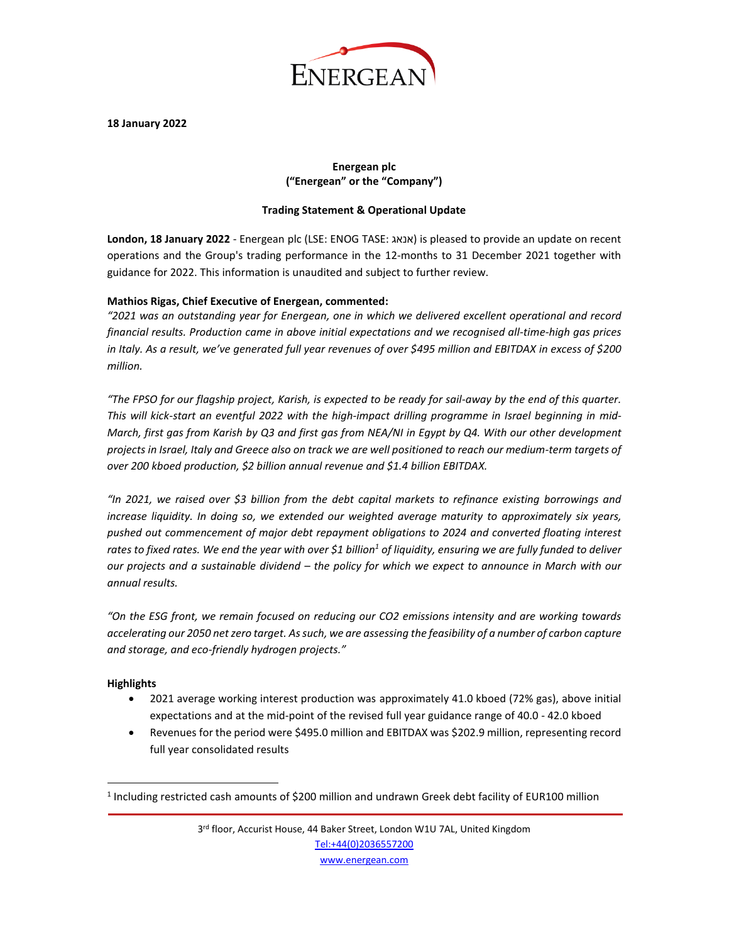

#### **18 January 2022**

# **Energean plc ("Energean" or the "Company")**

#### **Trading Statement & Operational Update**

**London, 18 January 2022** - Energean plc (LSE: ENOG TASE: אנאג (is pleased to provide an update on recent operations and the Group's trading performance in the 12-months to 31 December 2021 together with guidance for 2022. This information is unaudited and subject to further review.

# **Mathios Rigas, Chief Executive of Energean, commented:**

*"2021 was an outstanding year for Energean, one in which we delivered excellent operational and record financial results. Production came in above initial expectations and we recognised all-time-high gas prices in Italy. As a result, we've generated full year revenues of over \$495 million and EBITDAX in excess of \$200 million.*

*"The FPSO for our flagship project, Karish, is expected to be ready for sail-away by the end of this quarter. This will kick-start an eventful 2022 with the high-impact drilling programme in Israel beginning in mid-March, first gas from Karish by Q3 and first gas from NEA/NI in Egypt by Q4. With our other development projects in Israel, Italy and Greece also on track we are well positioned to reach our medium-term targets of over 200 kboed production, \$2 billion annual revenue and \$1.4 billion EBITDAX.*

*"In 2021, we raised over \$3 billion from the debt capital markets to refinance existing borrowings and increase liquidity. In doing so, we extended our weighted average maturity to approximately six years, pushed out commencement of major debt repayment obligations to 2024 and converted floating interest rates to fixed rates. We end the year with over \$1 billion<sup>1</sup> of liquidity, ensuring we are fully funded to deliver our projects and a sustainable dividend – the policy for which we expect to announce in March with our annual results.*

*"On the ESG front, we remain focused on reducing our CO2 emissions intensity and are working towards accelerating our 2050 net zero target. As such, we are assessing the feasibility of a number of carbon capture and storage, and eco-friendly hydrogen projects."*

# **Highlights**

- 2021 average working interest production was approximately 41.0 kboed (72% gas), above initial expectations and at the mid-point of the revised full year guidance range of 40.0 - 42.0 kboed
- Revenues for the period were \$495.0 million and EBITDAX was \$202.9 million, representing record full year consolidated results

 $<sup>1</sup>$  Including restricted cash amounts of \$200 million and undrawn Greek debt facility of EUR100 million</sup>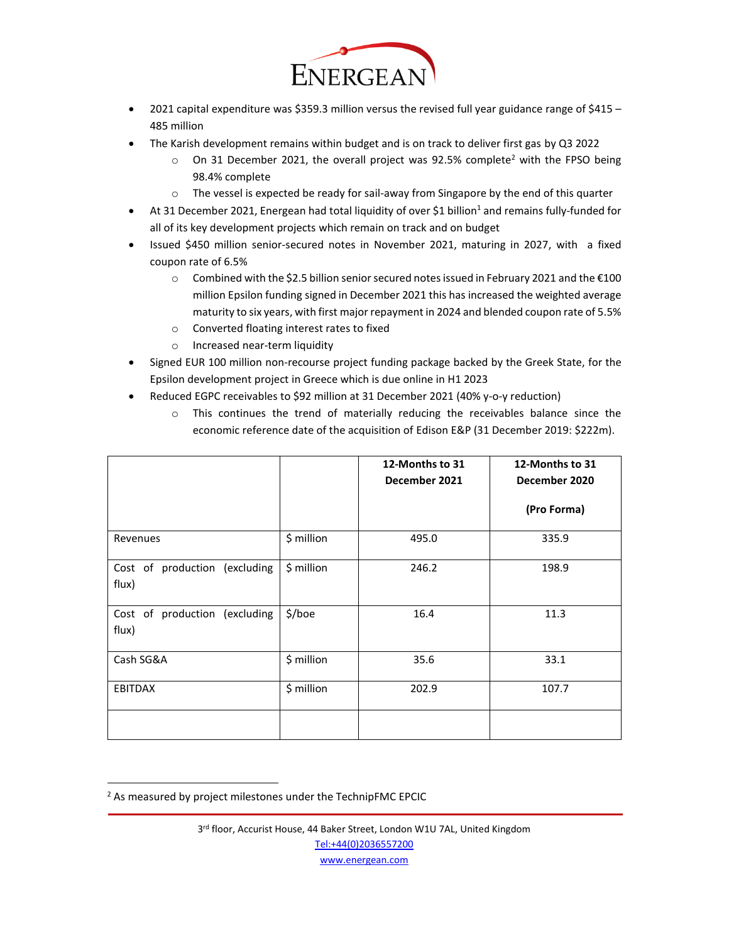

- 2021 capital expenditure was \$359.3 million versus the revised full year guidance range of \$415 485 million
- The Karish development remains within budget and is on track to deliver first gas by Q3 2022
	- $\circ$  On 31 December 2021, the overall project was 92.5% complete<sup>2</sup> with the FPSO being 98.4% complete
	- $\circ$  The vessel is expected be ready for sail-away from Singapore by the end of this quarter
- At 31 December 2021, Energean had total liquidity of over \$1 billion<sup>1</sup> and remains fully-funded for all of its key development projects which remain on track and on budget
- Issued \$450 million senior-secured notes in November 2021, maturing in 2027, with a fixed coupon rate of 6.5%
	- o Combined with the \$2.5 billion senior secured notes issued in February 2021 and the €100 million Epsilon funding signed in December 2021 this has increased the weighted average maturity to six years, with first major repayment in 2024 and blended coupon rate of 5.5%
	- o Converted floating interest rates to fixed
	- o Increased near-term liquidity
- Signed EUR 100 million non-recourse project funding package backed by the Greek State, for the Epsilon development project in Greece which is due online in H1 2023
- Reduced EGPC receivables to \$92 million at 31 December 2021 (40% y-o-y reduction)
	- o This continues the trend of materially reducing the receivables balance since the economic reference date of the acquisition of Edison E&P (31 December 2019: \$222m).

|                                        |            | 12-Months to 31<br>December 2021 | 12-Months to 31<br>December 2020 |
|----------------------------------------|------------|----------------------------------|----------------------------------|
|                                        |            |                                  | (Pro Forma)                      |
| Revenues                               | \$ million | 495.0                            | 335.9                            |
| Cost of production (excluding<br>flux) | \$ million | 246.2                            | 198.9                            |
| Cost of production (excluding<br>flux) | \$/boe     | 16.4                             | 11.3                             |
| Cash SG&A                              | \$ million | 35.6                             | 33.1                             |
| <b>EBITDAX</b>                         | \$ million | 202.9                            | 107.7                            |
|                                        |            |                                  |                                  |

 $2$  As measured by project milestones under the TechnipFMC EPCIC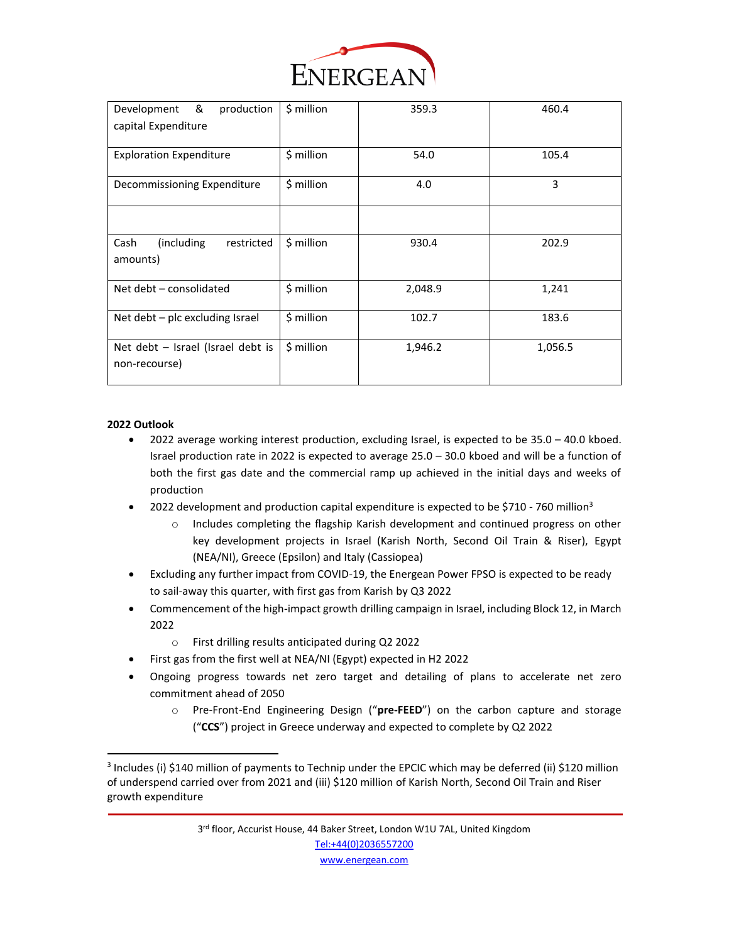

| &<br>production<br>Development                       | \$ million | 359.3   | 460.4   |
|------------------------------------------------------|------------|---------|---------|
| capital Expenditure                                  |            |         |         |
|                                                      |            |         |         |
| <b>Exploration Expenditure</b>                       | \$ million | 54.0    | 105.4   |
| Decommissioning Expenditure                          | \$ million | 4.0     | 3       |
|                                                      |            |         |         |
| (including)<br>restricted<br>Cash<br>amounts)        | \$ million | 930.4   | 202.9   |
| Net debt - consolidated                              | \$ million | 2,048.9 | 1,241   |
| Net debt $-$ plc excluding Israel                    | \$ million | 102.7   | 183.6   |
| Net debt $-$ Israel (Israel debt is<br>non-recourse) | \$ million | 1,946.2 | 1,056.5 |
|                                                      |            |         |         |

# **2022 Outlook**

- 2022 average working interest production, excluding Israel, is expected to be 35.0 40.0 kboed. Israel production rate in 2022 is expected to average 25.0 – 30.0 kboed and will be a function of both the first gas date and the commercial ramp up achieved in the initial days and weeks of production
- 2022 development and production capital expenditure is expected to be \$710 760 million<sup>3</sup>
	- o Includes completing the flagship Karish development and continued progress on other key development projects in Israel (Karish North, Second Oil Train & Riser), Egypt (NEA/NI), Greece (Epsilon) and Italy (Cassiopea)
- Excluding any further impact from COVID-19, the Energean Power FPSO is expected to be ready to sail-away this quarter, with first gas from Karish by Q3 2022
- Commencement of the high-impact growth drilling campaign in Israel, including Block 12, in March 2022
	- o First drilling results anticipated during Q2 2022
- First gas from the first well at NEA/NI (Egypt) expected in H2 2022
- Ongoing progress towards net zero target and detailing of plans to accelerate net zero commitment ahead of 2050
	- o Pre-Front-End Engineering Design ("**pre-FEED**") on the carbon capture and storage ("**CCS**") project in Greece underway and expected to complete by Q2 2022

<sup>&</sup>lt;sup>3</sup> Includes (i) \$140 million of payments to Technip under the EPCIC which may be deferred (ii) \$120 million of underspend carried over from 2021 and (iii) \$120 million of Karish North, Second Oil Train and Riser growth expenditure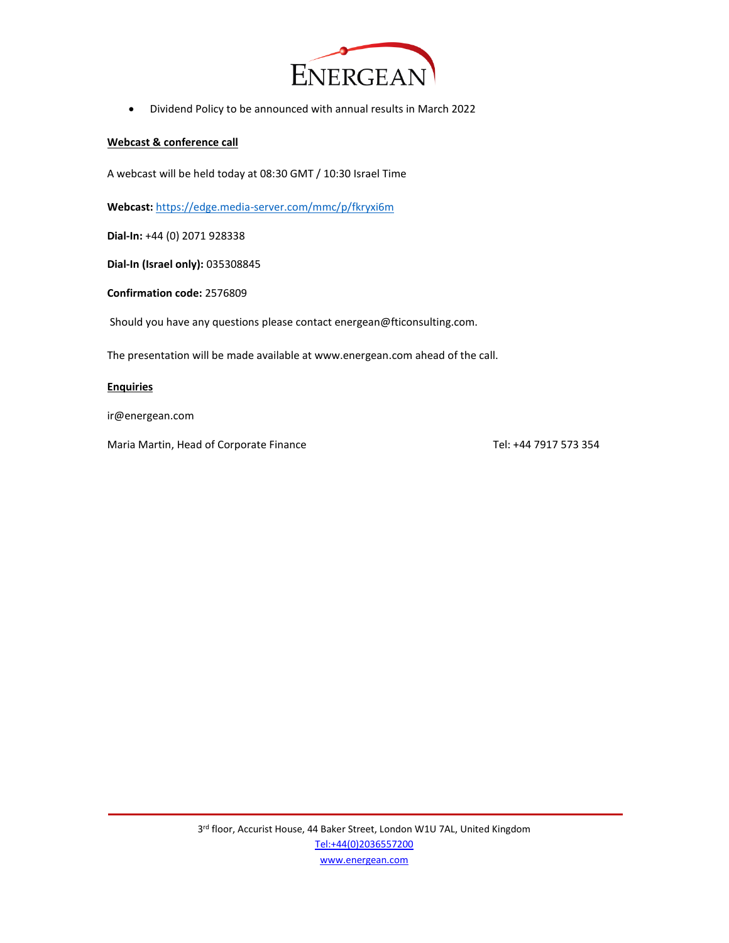

• Dividend Policy to be announced with annual results in March 2022

#### **Webcast & conference call**

A webcast will be held today at 08:30 GMT / 10:30 Israel Time

**Webcast:** <https://edge.media-server.com/mmc/p/fkryxi6m>

**Dial-In:** +44 (0) 2071 928338

**Dial-In (Israel only):** 035308845

**Confirmation code:** 2576809

Should you have any questions please contact energean@fticonsulting.com.

The presentation will be made available at www.energean.com ahead of the call.

#### **Enquiries**

ir@energean.com

Maria Martin, Head of Corporate Finance Tel: +44 7917 573 354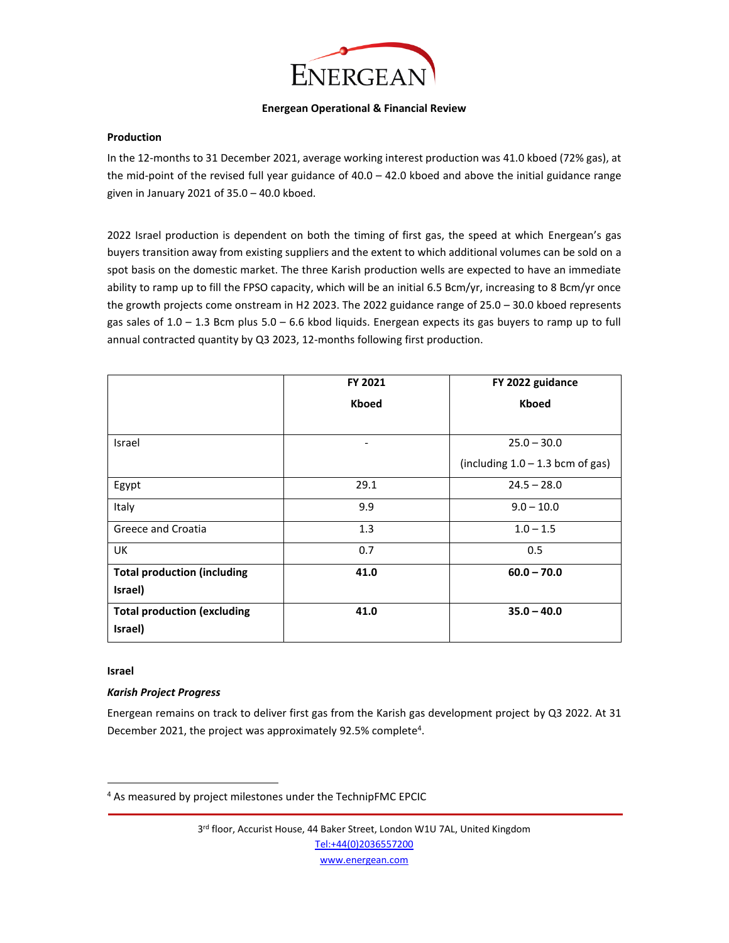

#### **Energean Operational & Financial Review**

#### **Production**

In the 12-months to 31 December 2021, average working interest production was 41.0 kboed (72% gas), at the mid-point of the revised full year guidance of 40.0 – 42.0 kboed and above the initial guidance range given in January 2021 of 35.0 – 40.0 kboed.

2022 Israel production is dependent on both the timing of first gas, the speed at which Energean's gas buyers transition away from existing suppliers and the extent to which additional volumes can be sold on a spot basis on the domestic market. The three Karish production wells are expected to have an immediate ability to ramp up to fill the FPSO capacity, which will be an initial 6.5 Bcm/yr, increasing to 8 Bcm/yr once the growth projects come onstream in H2 2023. The 2022 guidance range of 25.0 – 30.0 kboed represents gas sales of  $1.0 - 1.3$  Bcm plus  $5.0 - 6.6$  kbod liquids. Energean expects its gas buyers to ramp up to full annual contracted quantity by Q3 2023, 12-months following first production.

|                                               | FY 2021      | FY 2022 guidance                   |
|-----------------------------------------------|--------------|------------------------------------|
|                                               | <b>Kboed</b> | <b>Kboed</b>                       |
|                                               |              |                                    |
| Israel                                        |              | $25.0 - 30.0$                      |
|                                               |              | (including $1.0 - 1.3$ bcm of gas) |
| Egypt                                         | 29.1         | $24.5 - 28.0$                      |
| Italy                                         | 9.9          | $9.0 - 10.0$                       |
| Greece and Croatia                            | 1.3          | $1.0 - 1.5$                        |
| UK                                            | 0.7          | 0.5                                |
| <b>Total production (including</b><br>Israel) | 41.0         | $60.0 - 70.0$                      |
| <b>Total production (excluding</b>            | 41.0         | $35.0 - 40.0$                      |
| Israel)                                       |              |                                    |

#### **Israel**

# *Karish Project Progress*

Energean remains on track to deliver first gas from the Karish gas development project by Q3 2022. At 31 December 2021, the project was approximately 92.5% complete<sup>4</sup>.

3<sup>rd</sup> floor, Accurist House, 44 Baker Street, London W1U 7AL, United Kingdom [Tel:+44\(0\)2036557200](tel:+44(0)2036557200)

[www.energean.com](http://www.energean.com/)

<sup>&</sup>lt;sup>4</sup> As measured by project milestones under the TechnipFMC EPCIC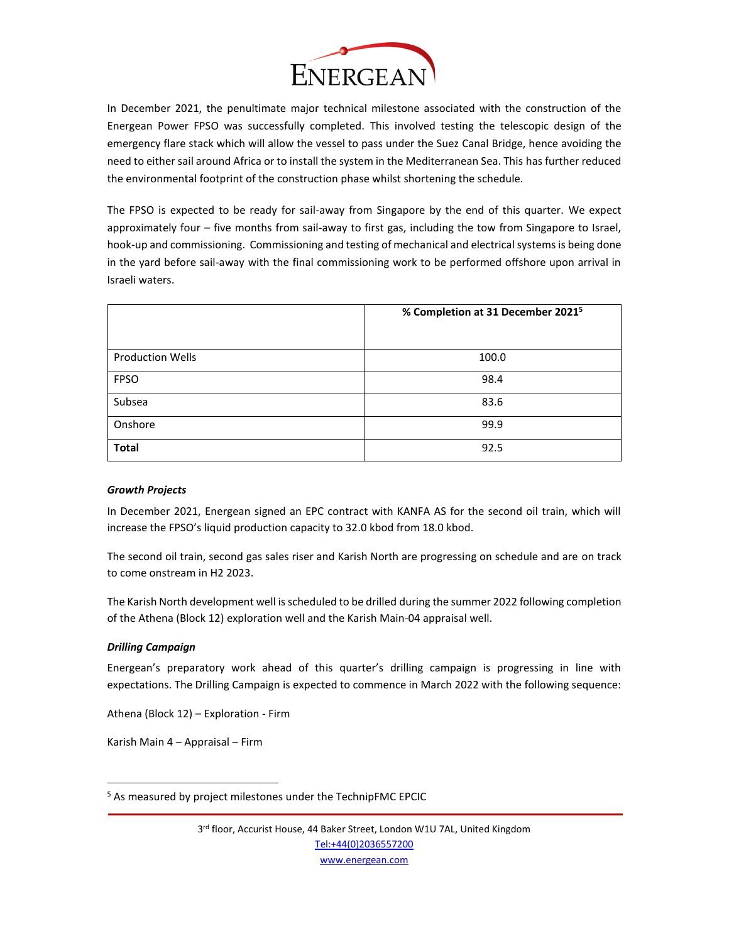

In December 2021, the penultimate major technical milestone associated with the construction of the Energean Power FPSO was successfully completed. This involved testing the telescopic design of the emergency flare stack which will allow the vessel to pass under the Suez Canal Bridge, hence avoiding the need to either sail around Africa or to install the system in the Mediterranean Sea. This has further reduced the environmental footprint of the construction phase whilst shortening the schedule.

The FPSO is expected to be ready for sail-away from Singapore by the end of this quarter. We expect approximately four – five months from sail-away to first gas, including the tow from Singapore to Israel, hook-up and commissioning. Commissioning and testing of mechanical and electrical systems is being done in the yard before sail-away with the final commissioning work to be performed offshore upon arrival in Israeli waters.

|                         | % Completion at 31 December 2021 <sup>5</sup> |
|-------------------------|-----------------------------------------------|
| <b>Production Wells</b> | 100.0                                         |
| <b>FPSO</b>             | 98.4                                          |
| Subsea                  | 83.6                                          |
| Onshore                 | 99.9                                          |
| <b>Total</b>            | 92.5                                          |

# *Growth Projects*

In December 2021, Energean signed an EPC contract with KANFA AS for the second oil train, which will increase the FPSO's liquid production capacity to 32.0 kbod from 18.0 kbod.

The second oil train, second gas sales riser and Karish North are progressing on schedule and are on track to come onstream in H2 2023.

The Karish North development well is scheduled to be drilled during the summer 2022 following completion of the Athena (Block 12) exploration well and the Karish Main-04 appraisal well.

# *Drilling Campaign*

Energean's preparatory work ahead of this quarter's drilling campaign is progressing in line with expectations. The Drilling Campaign is expected to commence in March 2022 with the following sequence:

Athena (Block 12) – Exploration - Firm

Karish Main 4 – Appraisal – Firm

<sup>&</sup>lt;sup>5</sup> As measured by project milestones under the TechnipFMC EPCIC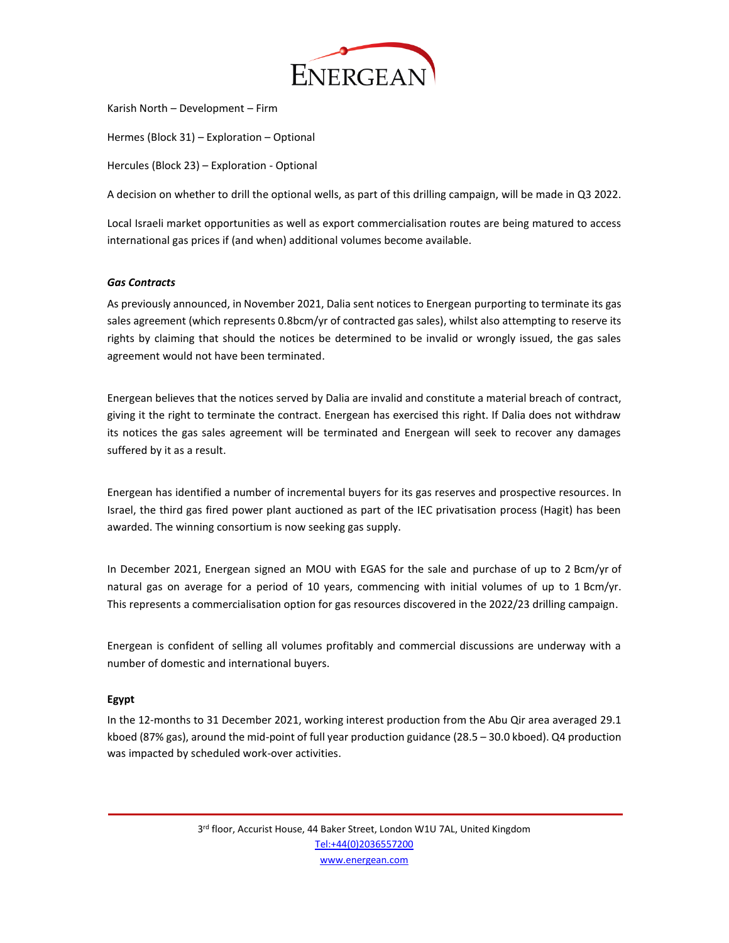

Karish North – Development – Firm

Hermes (Block 31) – Exploration – Optional

Hercules (Block 23) – Exploration - Optional

A decision on whether to drill the optional wells, as part of this drilling campaign, will be made in Q3 2022.

Local Israeli market opportunities as well as export commercialisation routes are being matured to access international gas prices if (and when) additional volumes become available.

#### *Gas Contracts*

As previously announced, in November 2021, Dalia sent notices to Energean purporting to terminate its gas sales agreement (which represents 0.8bcm/yr of contracted gas sales), whilst also attempting to reserve its rights by claiming that should the notices be determined to be invalid or wrongly issued, the gas sales agreement would not have been terminated.

Energean believes that the notices served by Dalia are invalid and constitute a material breach of contract, giving it the right to terminate the contract. Energean has exercised this right. If Dalia does not withdraw its notices the gas sales agreement will be terminated and Energean will seek to recover any damages suffered by it as a result.

Energean has identified a number of incremental buyers for its gas reserves and prospective resources. In Israel, the third gas fired power plant auctioned as part of the IEC privatisation process (Hagit) has been awarded. The winning consortium is now seeking gas supply.

In December 2021, Energean signed an MOU with EGAS for the sale and purchase of up to 2 Bcm/yr of natural gas on average for a period of 10 years, commencing with initial volumes of up to 1 Bcm/yr. This represents a commercialisation option for gas resources discovered in the 2022/23 drilling campaign.

Energean is confident of selling all volumes profitably and commercial discussions are underway with a number of domestic and international buyers.

# **Egypt**

In the 12-months to 31 December 2021, working interest production from the Abu Qir area averaged 29.1 kboed (87% gas), around the mid-point of full year production guidance (28.5 – 30.0 kboed). Q4 production was impacted by scheduled work-over activities.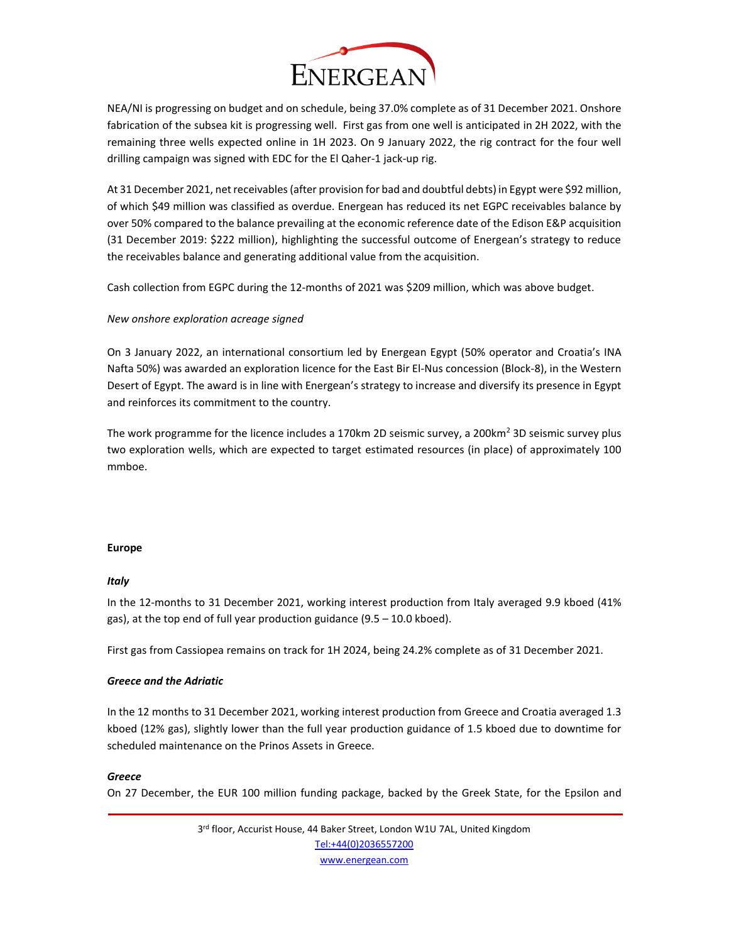

NEA/NI is progressing on budget and on schedule, being 37.0% complete as of 31 December 2021. Onshore fabrication of the subsea kit is progressing well. First gas from one well is anticipated in 2H 2022, with the remaining three wells expected online in 1H 2023. On 9 January 2022, the rig contract for the four well drilling campaign was signed with EDC for the El Qaher-1 jack-up rig.

At 31 December 2021, net receivables (after provision for bad and doubtful debts) in Egypt were \$92 million, of which \$49 million was classified as overdue. Energean has reduced its net EGPC receivables balance by over 50% compared to the balance prevailing at the economic reference date of the Edison E&P acquisition (31 December 2019: \$222 million), highlighting the successful outcome of Energean's strategy to reduce the receivables balance and generating additional value from the acquisition.

Cash collection from EGPC during the 12-months of 2021 was \$209 million, which was above budget.

# *New onshore exploration acreage signed*

On 3 January 2022, an international consortium led by Energean Egypt (50% operator and Croatia's INA Nafta 50%) was awarded an exploration licence for the East Bir El-Nus concession (Block-8), in the Western Desert of Egypt. The award is in line with Energean's strategy to increase and diversify its presence in Egypt and reinforces its commitment to the country.

The work programme for the licence includes a 170km 2D seismic survey, a 200km<sup>2</sup> 3D seismic survey plus two exploration wells, which are expected to target estimated resources (in place) of approximately 100 mmboe.

# **Europe**

# *Italy*

In the 12-months to 31 December 2021, working interest production from Italy averaged 9.9 kboed (41% gas), at the top end of full year production guidance (9.5 – 10.0 kboed).

First gas from Cassiopea remains on track for 1H 2024, being 24.2% complete as of 31 December 2021.

# *Greece and the Adriatic*

In the 12 months to 31 December 2021, working interest production from Greece and Croatia averaged 1.3 kboed (12% gas), slightly lower than the full year production guidance of 1.5 kboed due to downtime for scheduled maintenance on the Prinos Assets in Greece.

# *Greece*

On 27 December, the EUR 100 million funding package, backed by the Greek State, for the Epsilon and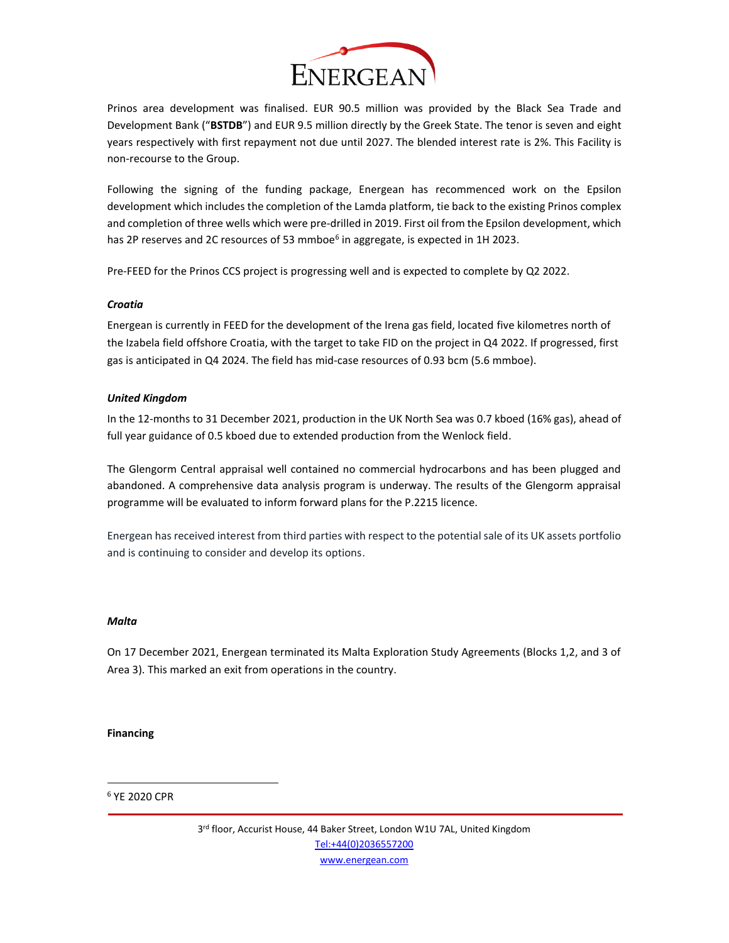

Prinos area development was finalised. EUR 90.5 million was provided by the Black Sea Trade and Development Bank ("**BSTDB**") and EUR 9.5 million directly by the Greek State. The tenor is seven and eight years respectively with first repayment not due until 2027. The blended interest rate is 2%. This Facility is non-recourse to the Group.

Following the signing of the funding package, Energean has recommenced work on the Epsilon development which includes the completion of the Lamda platform, tie back to the existing Prinos complex and completion of three wells which were pre-drilled in 2019. First oil from the Epsilon development, which has 2P reserves and 2C resources of 53 mmboe<sup>6</sup> in aggregate, is expected in 1H 2023.

Pre-FEED for the Prinos CCS project is progressing well and is expected to complete by Q2 2022.

# *Croatia*

Energean is currently in FEED for the development of the Irena gas field, located five kilometres north of the Izabela field offshore Croatia, with the target to take FID on the project in Q4 2022. If progressed, first gas is anticipated in Q4 2024. The field has mid-case resources of 0.93 bcm (5.6 mmboe).

# *United Kingdom*

In the 12-months to 31 December 2021, production in the UK North Sea was 0.7 kboed (16% gas), ahead of full year guidance of 0.5 kboed due to extended production from the Wenlock field.

The Glengorm Central appraisal well contained no commercial hydrocarbons and has been plugged and abandoned. A comprehensive data analysis program is underway. The results of the Glengorm appraisal programme will be evaluated to inform forward plans for the P.2215 licence.

Energean has received interest from third parties with respect to the potential sale of its UK assets portfolio and is continuing to consider and develop its options.

# *Malta*

On 17 December 2021, Energean terminated its Malta Exploration Study Agreements (Blocks 1,2, and 3 of Area 3). This marked an exit from operations in the country.

# **Financing**

# <sup>6</sup> YE 2020 CPR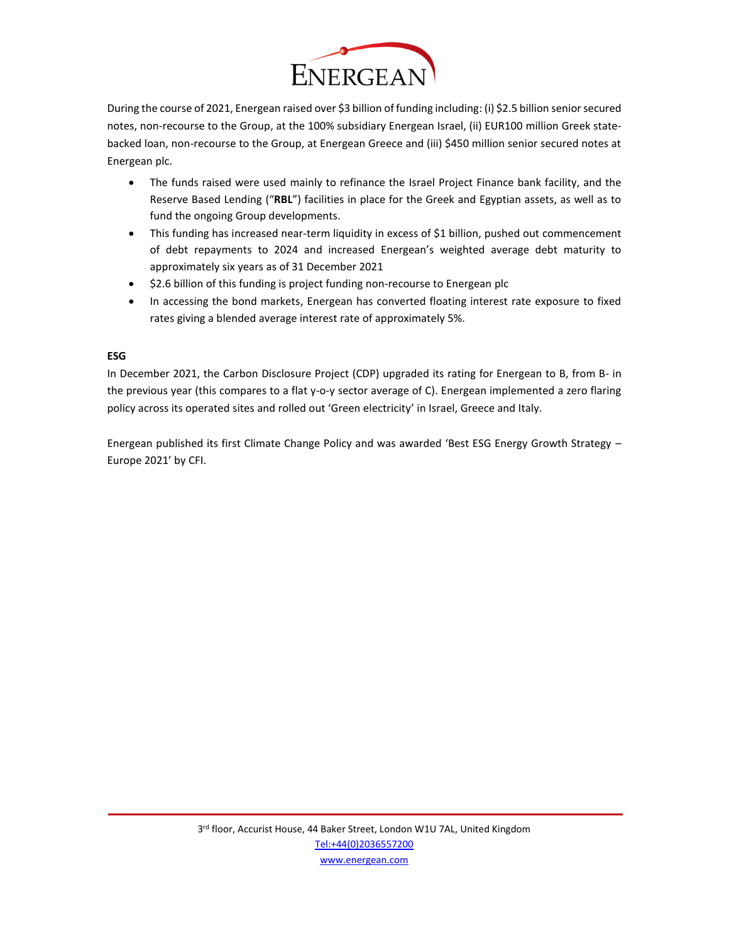

During the course of 2021, Energean raised over \$3 billion of funding including: (i) \$2.5 billion senior secured notes, non-recourse to the Group, at the 100% subsidiary Energean Israel, (ii) EUR100 million Greek statebacked loan, non-recourse to the Group, at Energean Greece and (iii) \$450 million senior secured notes at Energean plc.

- The funds raised were used mainly to refinance the Israel Project Finance bank facility, and the Reserve Based Lending ("**RBL**") facilities in place for the Greek and Egyptian assets, as well as to fund the ongoing Group developments.
- This funding has increased near-term liquidity in excess of \$1 billion, pushed out commencement of debt repayments to 2024 and increased Energean's weighted average debt maturity to approximately six years as of 31 December 2021
- \$2.6 billion of this funding is project funding non-recourse to Energean plc
- In accessing the bond markets, Energean has converted floating interest rate exposure to fixed rates giving a blended average interest rate of approximately 5%.

# **ESG**

In December 2021, the Carbon Disclosure Project (CDP) upgraded its rating for Energean to B, from B- in the previous year (this compares to a flat y-o-y sector average of C). Energean implemented a zero flaring policy across its operated sites and rolled out 'Green electricity' in Israel, Greece and Italy.

Energean published its first Climate Change Policy and was awarded 'Best ESG Energy Growth Strategy – Europe 2021' by CFI.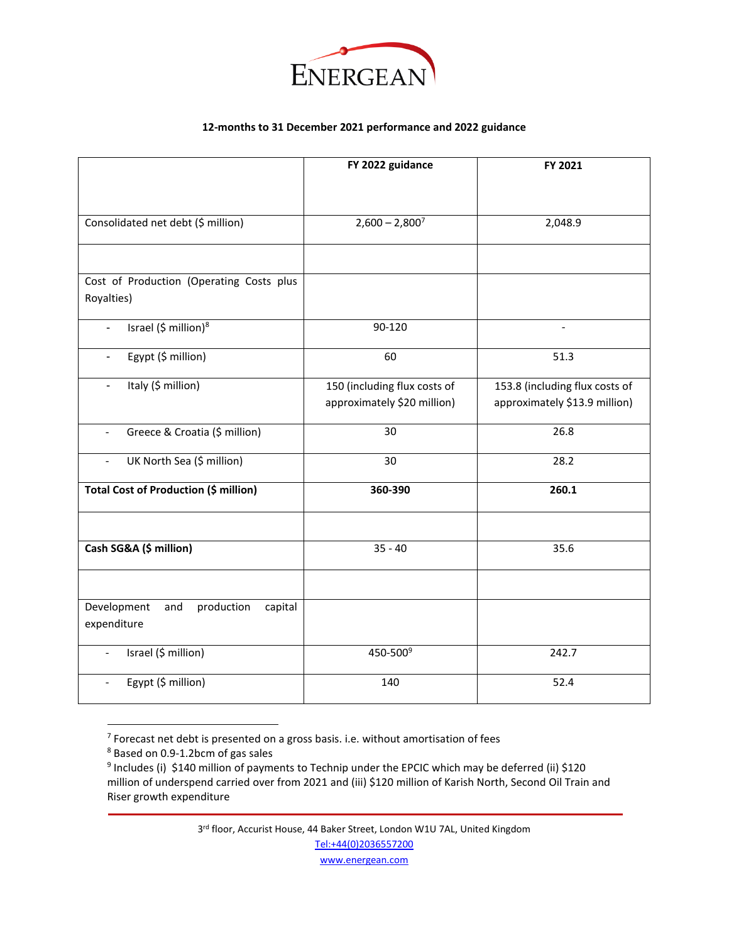

# **12-months to 31 December 2021 performance and 2022 guidance**

|                                                              | FY 2022 guidance                                            | FY 2021                                                         |
|--------------------------------------------------------------|-------------------------------------------------------------|-----------------------------------------------------------------|
|                                                              |                                                             |                                                                 |
| Consolidated net debt (\$ million)                           | $2,600 - 2,800^7$                                           | 2,048.9                                                         |
|                                                              |                                                             |                                                                 |
| Cost of Production (Operating Costs plus<br>Royalties)       |                                                             |                                                                 |
| Israel (\$ million) <sup>8</sup><br>$\overline{\phantom{a}}$ | 90-120                                                      | $\blacksquare$                                                  |
| Egypt (\$ million)<br>$\blacksquare$                         | 60                                                          | 51.3                                                            |
| Italy (\$ million)<br>$\overline{\phantom{a}}$               | 150 (including flux costs of<br>approximately \$20 million) | 153.8 (including flux costs of<br>approximately \$13.9 million) |
| Greece & Croatia (\$ million)<br>$\overline{\phantom{a}}$    | 30                                                          | 26.8                                                            |
| UK North Sea (\$ million)<br>$\overline{\phantom{a}}$        | 30                                                          | 28.2                                                            |
| <b>Total Cost of Production (\$ million)</b>                 | 360-390                                                     | 260.1                                                           |
|                                                              |                                                             |                                                                 |
| Cash SG&A (\$ million)                                       | $35 - 40$                                                   | 35.6                                                            |
|                                                              |                                                             |                                                                 |
| Development<br>production<br>and<br>capital<br>expenditure   |                                                             |                                                                 |
| Israel (\$ million)<br>$\overline{\phantom{a}}$              | 450-500 <sup>9</sup>                                        | 242.7                                                           |
| Egypt (\$ million)                                           | 140                                                         | 52.4                                                            |

 $7$  Forecast net debt is presented on a gross basis. i.e. without amortisation of fees

3<sup>rd</sup> floor, Accurist House, 44 Baker Street, London W1U 7AL, United Kingdom [Tel:+44\(0\)2036557200](tel:+44(0)2036557200)

[www.energean.com](http://www.energean.com/)

<sup>8</sup> Based on 0.9-1.2bcm of gas sales

<sup>&</sup>lt;sup>9</sup> Includes (i) \$140 million of payments to Technip under the EPCIC which may be deferred (ii) \$120 million of underspend carried over from 2021 and (iii) \$120 million of Karish North, Second Oil Train and Riser growth expenditure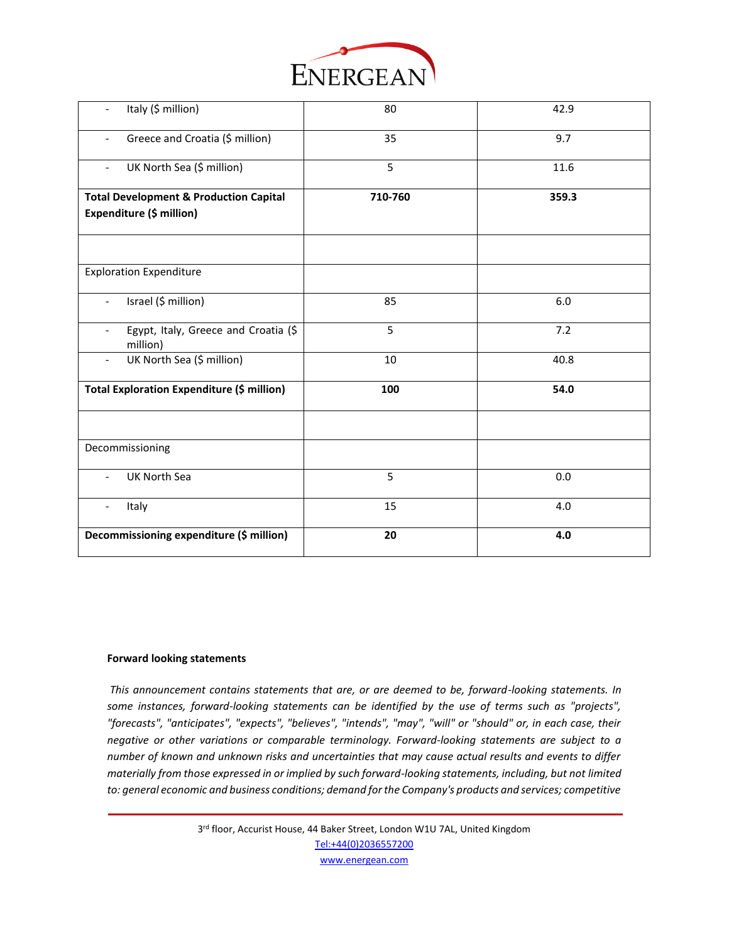

| Italy (\$ million)                                                           | 80      | 42.9  |
|------------------------------------------------------------------------------|---------|-------|
| Greece and Croatia (\$ million)<br>$\blacksquare$                            | 35      | 9.7   |
| UK North Sea (\$ million)<br>$\overline{\phantom{0}}$                        | 5       | 11.6  |
| <b>Total Development &amp; Production Capital</b>                            | 710-760 | 359.3 |
| Expenditure (\$ million)                                                     |         |       |
|                                                                              |         |       |
| <b>Exploration Expenditure</b>                                               |         |       |
| Israel (\$ million)<br>$\overline{\phantom{a}}$                              | 85      | 6.0   |
| Egypt, Italy, Greece and Croatia (\$<br>$\overline{\phantom{a}}$<br>million) | 5       | 7.2   |
| UK North Sea (\$ million)                                                    | 10      | 40.8  |
| Total Exploration Expenditure (\$ million)                                   | 100     | 54.0  |
|                                                                              |         |       |
| Decommissioning                                                              |         |       |
| UK North Sea                                                                 | 5       | 0.0   |
| Italy                                                                        | 15      | 4.0   |
| Decommissioning expenditure (\$ million)                                     | 20      | 4.0   |

#### **Forward looking statements**

*This announcement contains statements that are, or are deemed to be, forward-looking statements. In some instances, forward-looking statements can be identified by the use of terms such as "projects", "forecasts", "anticipates", "expects", "believes", "intends", "may", "will" or "should" or, in each case, their negative or other variations or comparable terminology. Forward-looking statements are subject to a number of known and unknown risks and uncertainties that may cause actual results and events to differ materially from those expressed in or implied by such forward-looking statements, including, but not limited to: general economic and business conditions; demand for the Company's products and services; competitive* 

> 3<sup>rd</sup> floor, Accurist House, 44 Baker Street, London W1U 7AL, United Kingdom [Tel:+44\(0\)2036557200](tel:+44(0)2036557200) [www.energean.com](http://www.energean.com/)